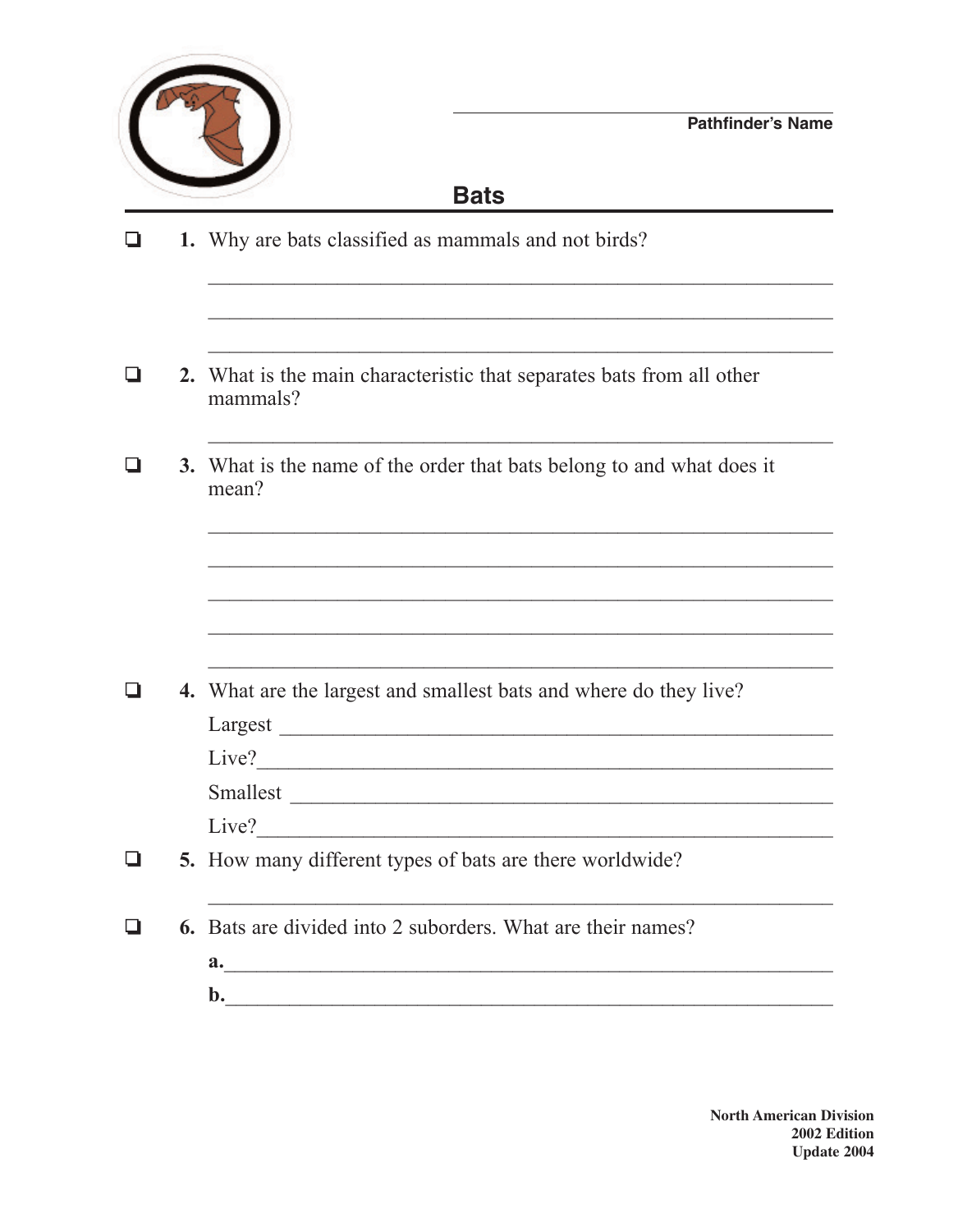

## **Bats**

- 1. Why are bats classified as mammals and not birds?  $\Box$
- 2. What is the main characteristic that separates bats from all other  $\Box$ mammals?
- 3. What is the name of the order that bats belong to and what does it  $\Box$ mean?

| ❏ | <b>4.</b> What are the largest and smallest bats and where do they live? |  |  |
|---|--------------------------------------------------------------------------|--|--|
|   | Largest                                                                  |  |  |
|   | Live?                                                                    |  |  |
|   | Smallest                                                                 |  |  |
|   | Live?                                                                    |  |  |
| ❏ | 5. How many different types of bats are there worldwide?                 |  |  |
|   | <b>6.</b> Bats are divided into 2 suborders. What are their names?       |  |  |

 $\mathbf{b}$ .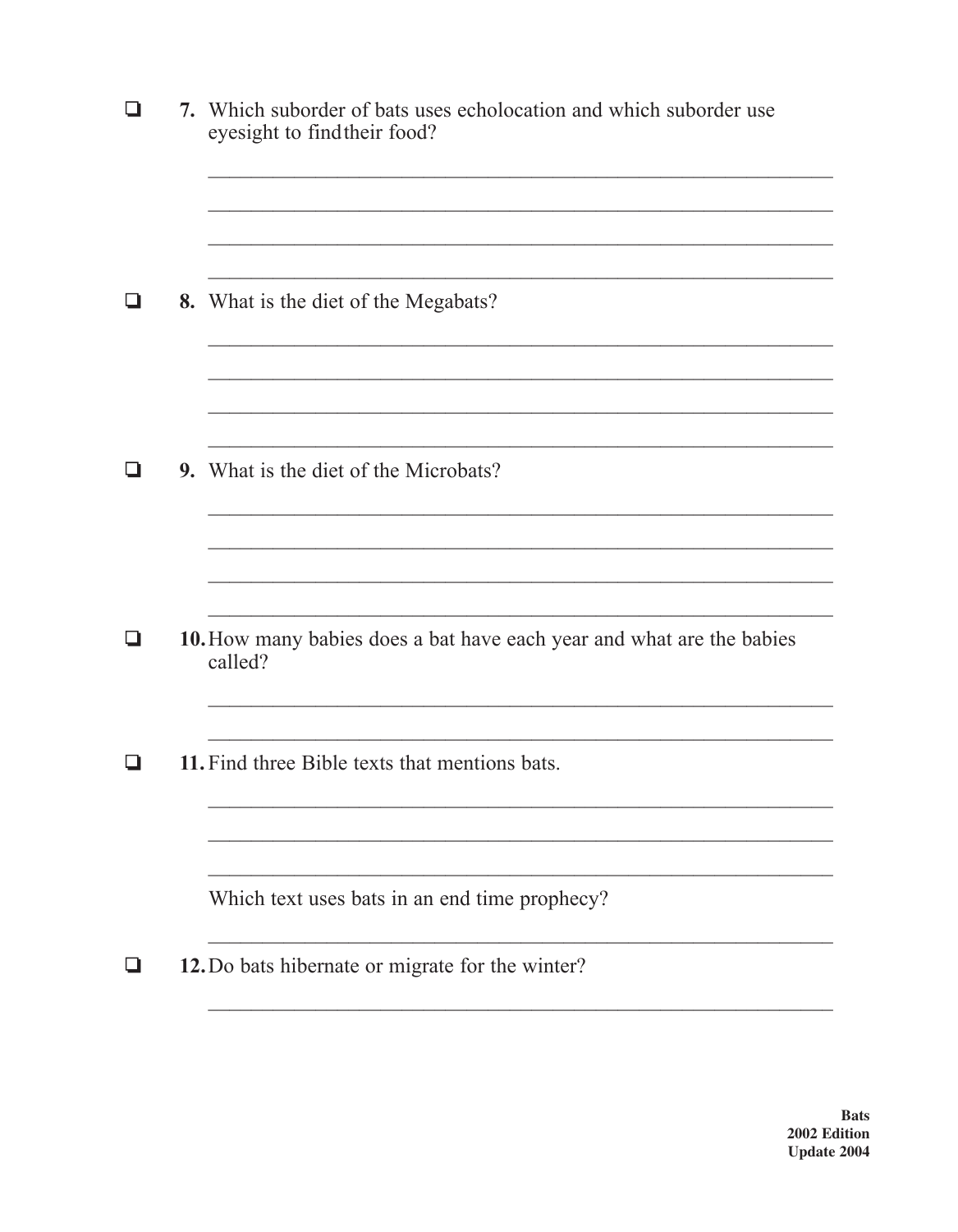| ப  | 7. Which suborder of bats uses echolocation and which suborder use<br>eyesight to find their food? |
|----|----------------------------------------------------------------------------------------------------|
| ப  | 8. What is the diet of the Megabats?                                                               |
| LI | <b>9.</b> What is the diet of the Microbats?                                                       |
| ❏  | 10. How many babies does a bat have each year and what are the babies                              |
|    | called?<br>11. Find three Bible texts that mentions bats.                                          |
|    |                                                                                                    |
|    | Which text uses bats in an end time prophecy?<br>12. Do bats hibernate or migrate for the winter?  |
|    |                                                                                                    |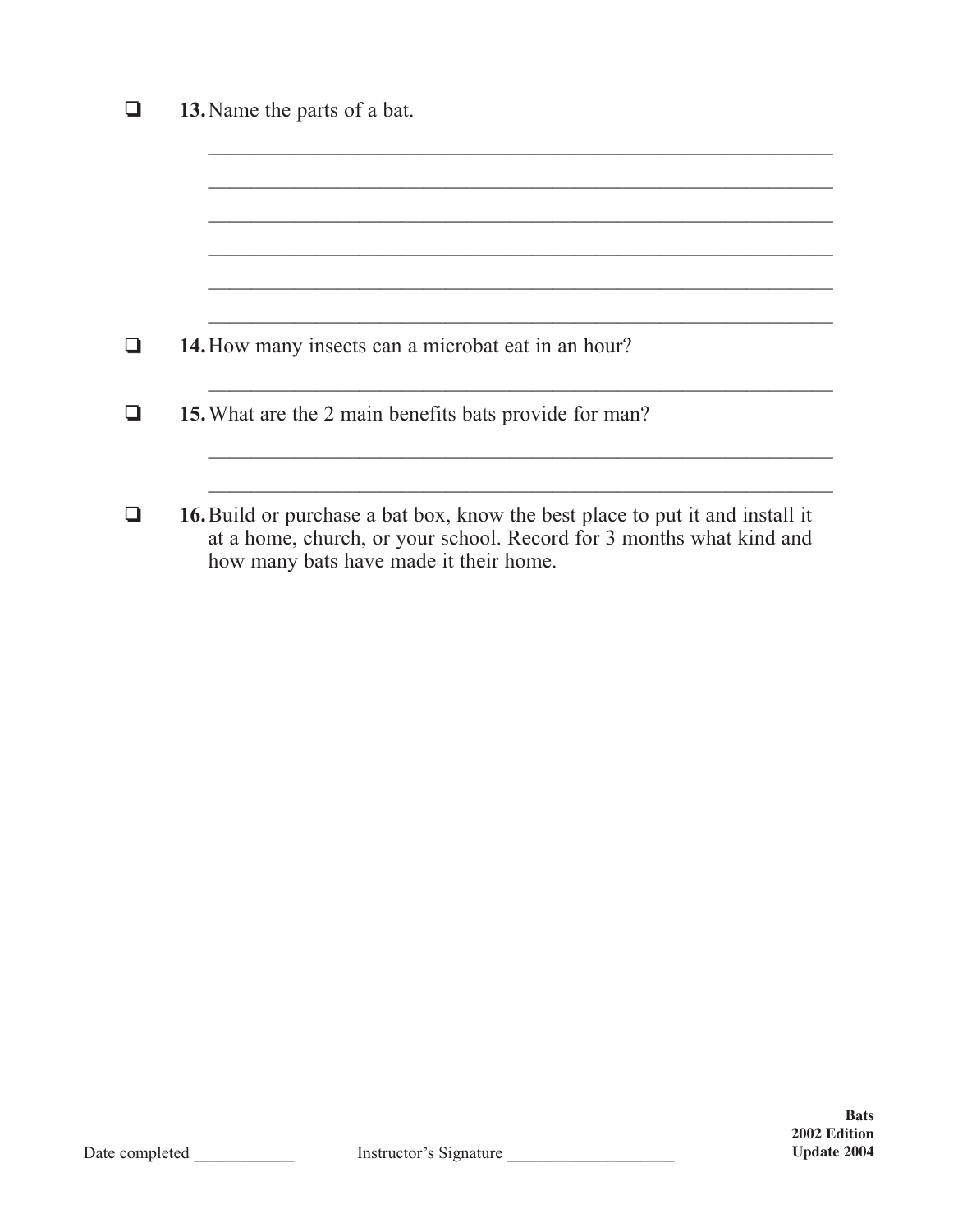| 13. Name the parts of a bat.                                                                                                                                                                           |
|--------------------------------------------------------------------------------------------------------------------------------------------------------------------------------------------------------|
|                                                                                                                                                                                                        |
|                                                                                                                                                                                                        |
|                                                                                                                                                                                                        |
| <b>14.</b> How many insects can a microbat eat in an hour?                                                                                                                                             |
|                                                                                                                                                                                                        |
| <b>15.</b> What are the 2 main benefits bats provide for man?                                                                                                                                          |
|                                                                                                                                                                                                        |
| <b>16.</b> Build or purchase a bat box, know the best place to put it and install it<br>at a home, church, or your school. Record for 3 months what kind and<br>how many bats have made it their home. |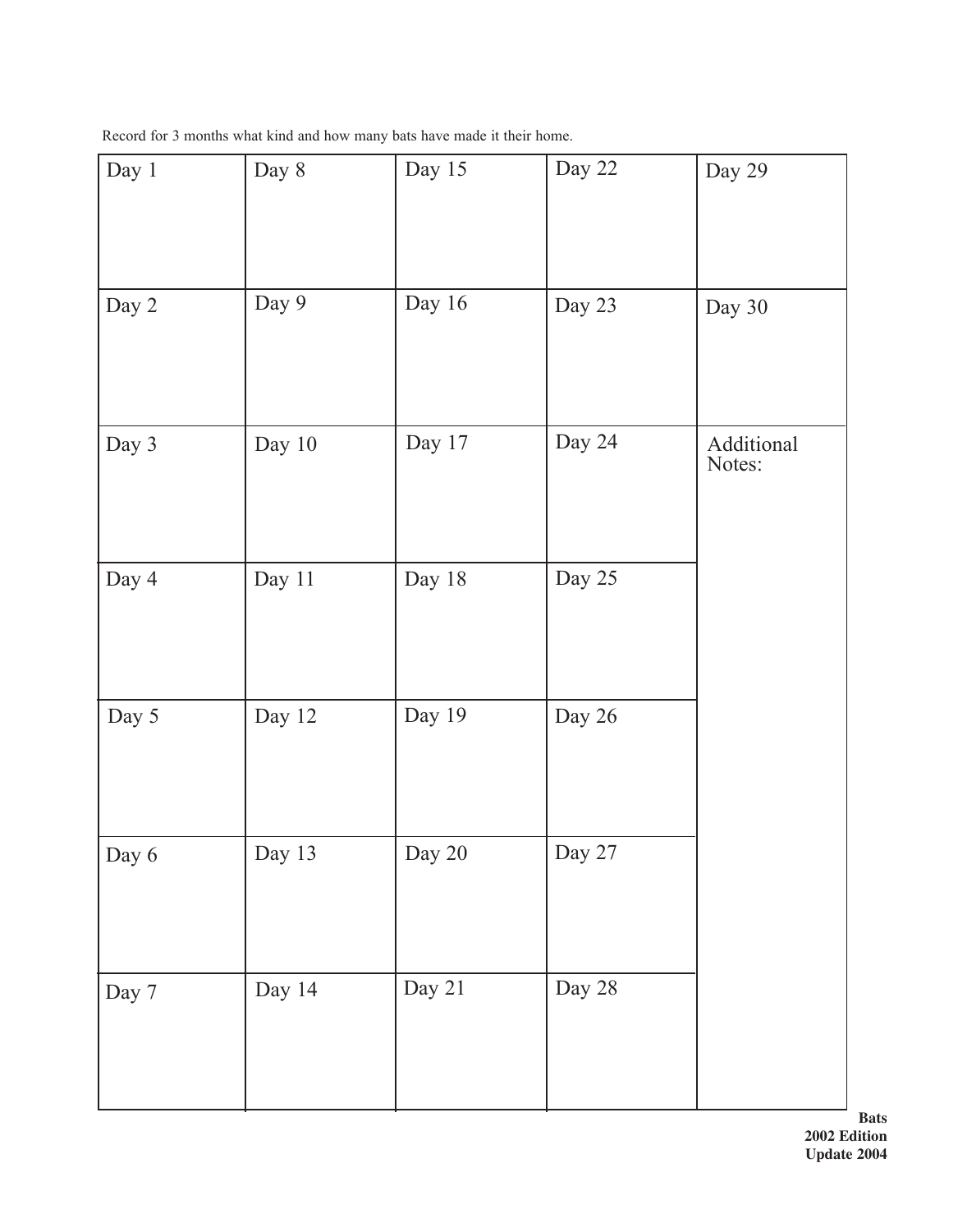| Record for 3 months what kind and how many bats have made it their home. |
|--------------------------------------------------------------------------|
|--------------------------------------------------------------------------|

| Day 1 | Day 8  | Day 15 | Day 22 | Day 29               |
|-------|--------|--------|--------|----------------------|
| Day 2 | Day 9  | Day 16 | Day 23 | Day 30               |
| Day 3 | Day 10 | Day 17 | Day 24 | Additional<br>Notes: |
| Day 4 | Day 11 | Day 18 | Day 25 |                      |
| Day 5 | Day 12 | Day 19 | Day 26 |                      |
| Day 6 | Day 13 | Day 20 | Day 27 |                      |
| Day 7 | Day 14 | Day 21 | Day 28 |                      |

**Bats 2002 Edition Update 2004**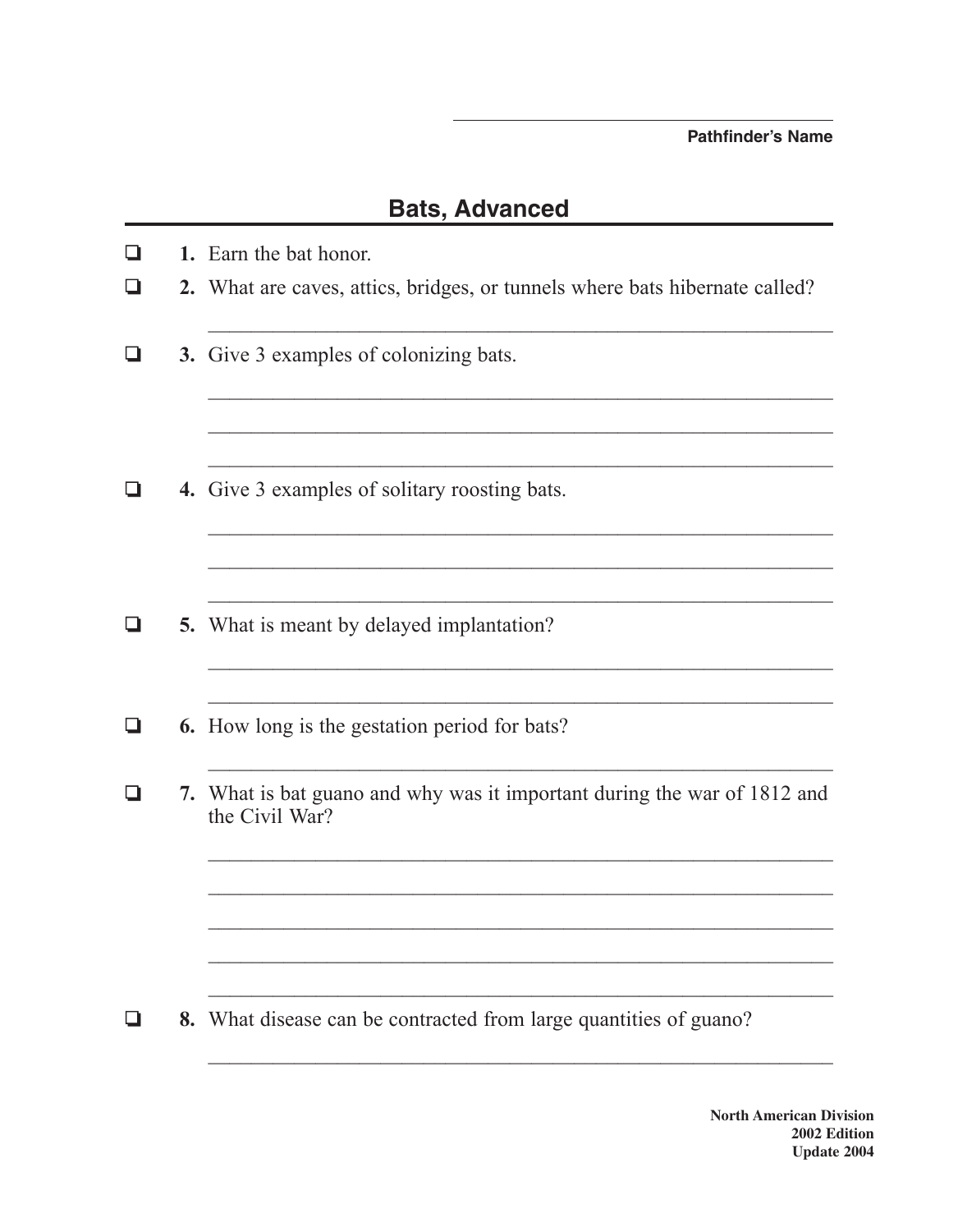- $\Box$ 1. Earn the bat honor.
- $\Box$ 2. What are caves, attics, bridges, or tunnels where bats hibernate called?
- 3. Give 3 examples of colonizing bats. .
- 4. Give 3 examples of solitary roosting bats.  $\Box$
- 5. What is meant by delayed implantation? Q
- $\Box$ 6. How long is the gestation period for bats?
- 7. What is bat guano and why was it important during the war of 1812 and  $\Box$ the Civil War?

<u> 1989 - Johann John Stone, mars eta biztanleria (h. 1989).</u>

<u> 1980 - Johann John Stone, market fransk politiker (d. 1980)</u>

8. What disease can be contracted from large quantities of guano?  $\Box$